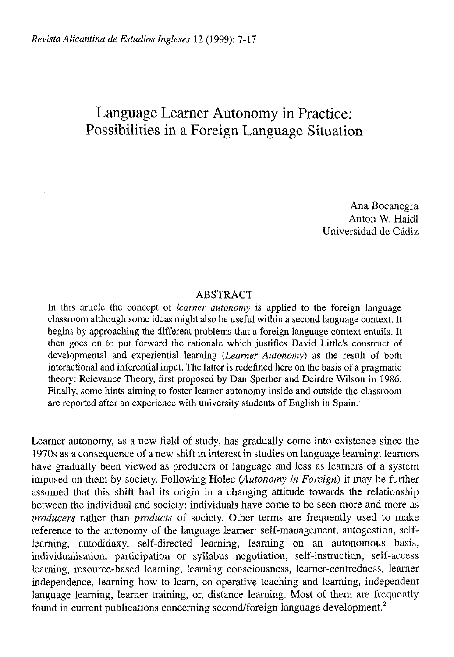# Language Learner Autonomy in Practice: Possibilities in a Foreign Language Situation

Ana Bocanegra Anton W. Haidl Universidad de Cádiz

## ABSTRACT

In this article the concept of *learner autonomy* is applied to the foreign language classroom although some ideas might also be useful within a second language context. It begins by approaching the different problems that a foreign language context entails. It then goes on to put forward the rationale which justifies David Little's construct of developmental and experiential leaming *(Learner Autonomy)* as the result of both interactional and inferential input. The latter is redefined here on the basis of a pragmatic theory: Relevance Theory, first proposed by Dan Sperber and Deirdre Wilson in 1986. Finally, some hints aiming to foster learner autonomy inside and outside the classroom are reported after an experience with university students of English in Spain.<sup>1</sup>

Learner autonomy, as a new field of study, has gradually come into existence since the 1970s as a consequence of a new shift in interest in studies on language learning: learners have gradually been viewed as producers of language and less as learners of a system imposed on them by society. Following Holec *(Autonomy in Foreign)* it may be further assumed that this shift had its origin in a changing attitude towards the relationship between the individual and society: individuals have come to be seen more and more as *producers* rather than *producís* of society. Other terms are frequently used to make reference to the autonomy of the language learner: self-management, autogestión, selflearning, autodidaxy, self-directed learning, learning on an autonomous basis, individualisation, participation or syllabus negotiation, self-instruction, self-access learning, resource-based learning, learning consciousness, learner-centredness, learner independence, learning how to learn, co-operative teaching and learning, independent language learning, learner training, or, distance learning. Most of them are frequently found in current publications concerning second/foreign language development.<sup>2</sup>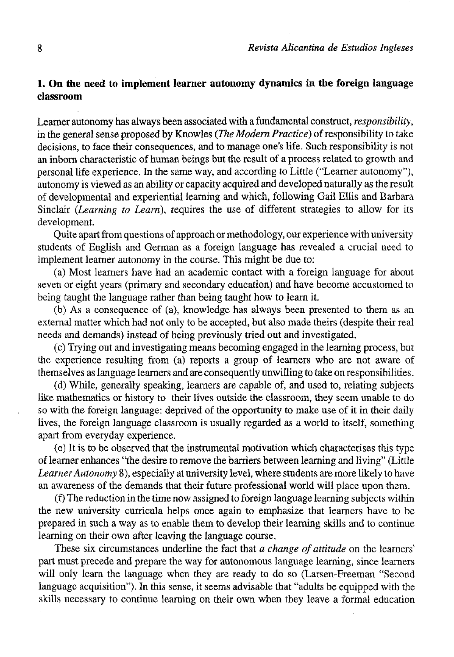# **1. On the need to implement learner autonomy dynamics in the foreign Ianguage classroom**

Learner autonomy has always been associated with a fundamental construct, *responsibility,*  in the general sense proposed by Knowles *(The Modern Practice)* of responsibility to take decisions, to face their consequences, and to manage one's life. Such responsibility is not an inborn characteristic of human beings but the result of a process related to growth and personal life experience. In the same way, and according to Little ("Learner autonomy"), autonomy is viewed as an ability or capacity acquired and developed naturally as the result of developmental and experiential learning and which, following Gail Ellis and Barbara Sinclair *(Learning to Learn),* requires the use of different strategies to allow for its development.

Quite apart from questions of approach or methodology, our experience with university students of English and German as a foreign language has revealed a crucial need to implement learner autonomy in the course. This might be due to:

(a) Most learners have had an academic contact with a foreign Ianguage for about seven or eight years (primary and secondary education) and have become accustomed to being taught the Ianguage rather than being taught how to learn it.

(b) As a consequence of (a), knowledge has always been presented to them as an external matter which had not only to be accepted, but also made theirs (despite their real needs and demands) instead of being previously tried out and investigated.

(c) Trying out and investigating means becoming engaged in the learning process, but the experience resulting from (a) reports a group of learners who are not aware of themselves as Ianguage learners and are consequently unwilling to take on responsibilities.

(d) While, generally speaking, learners are capable of, and used to, relating subjects like mathematics or history to their lives outside the classroom, they seem unable to do so with the foreign Ianguage: deprived of the opportunity to make use of it in their daily lives, the foreign Ianguage classroom is usually regarded as a world to itself, something apart from everyday experience.

(e) It is to be observed that the instrumental motivation which characterises this type of learner enhances "the desire to remove the barriers between learning and living" (Little *Learner Autonomy* 8), especially at university level, where students are more likely to have an awareness of the demands that their future professional world will place upon them.

(f) The reduction in the time now assigned to foreign Ianguage learning subjects within the new university curricula helps once again to emphasize that leamers have to be prepared in such a way as to enable them to develop their learning skills and to continué learning on their own after leaving the Ianguage course.

These six circumstances underline the fact that *a change of attitude* on the learners' part must precede and prepare the way for autonomous Ianguage learning, since learners will only learn the language when they are ready to do so (Larsen-Freeman "Second Ianguage acquisition"). In this sense, it seems advisable that "adults be equipped with the skills necessary to continué learning on their own when they leave a formal education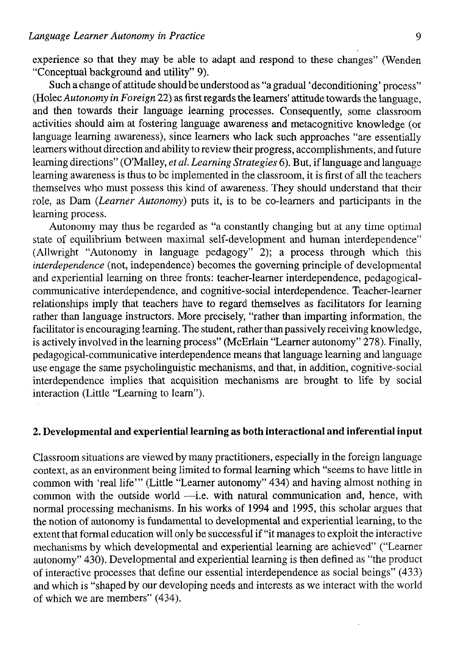experience so that they may be able to adapt and respond to these changes" (Wenden "Conceptual background and utility" 9).

Such a change of attitude should be understood as "a gradual 'deconditioning' process" (Holec *Autonomy in Foreign* 22) as first regards the learners' attitude towards the language. and then towards their language learning processes. Consequently, some classroom activities should aim at fostering language awareness and metacognitive knowledge (or language learning awareness), since learners who lack such approaches "are essentially learners without direction and ability to review their progress, accomplishments, and future learning directions" (O'Malley, *et al. Learning Strategies* 6). But, if language and language learning awareness is thus to be implemented in the classroom, it is first of all the teachers themselves who must possess this kind of awareness. They should understand that their role, as Dam *{Learner Autonomy)* puts it, is to be co-learners and participants in the learning process.

Autonomy may thus be regarded as "a constantly changing but at any time optimal state of equilibrium between maximal self-development and human interdependence" (Allwright "Autonomy in language pedagogy" 2); a process through which this *interdependence* (not, independence) becomes the governing principie of developmental and experiential learning on three fronts: teacher-learner interdependence, pedagogicalcommunicative interdependence, and cognitive-social interdependence. Teacher-learner relationships imply that teachers have to regard themselves as facilitators for learning rather than language instructors. More precisely, "rather than imparting information, the facilitator is encouraging learning. The student, rather than passively receiving knowledge, is actively involved in the learning process" (McErlain "Learner autonomy" 278). Finally, pedagogical-communícative interdependence means that language learning and language use engage the same psycholinguistic mechanisms, and that, in addition, cognitive-social interdependence implies that acquisition mechanisms are brought to life by social interaction (Little "Learning to learn").

# **2. Developmental and experiential learning as both interactional and inferential input**

Classroom situations are viewed by many practitioners, especially in the foreign language context, as an environment being limited to formal learning which "seems to have little in common with 'real life'" (Little "Learner autonomy" 434) and having almost nothing in common with the outside world -i.e. with natural communication and, hence, with normal processing mechanisms. In his works of 1994 and 1995, this scholar argües that the notion of autonomy is fundamental to developmental and experiential learning, to the extent that formal education will only be successful if "it manages to exploit the interactive mechanisms by which developmental and experiential learning are achieved" ("Learner autonomy" 430). Developmental and experiential learning is then defined as "the product of interactive processes that define our essential interdependence as social beings" (433) and which is "shaped by our developing needs and interests as we interact with the world of which we are members" (434).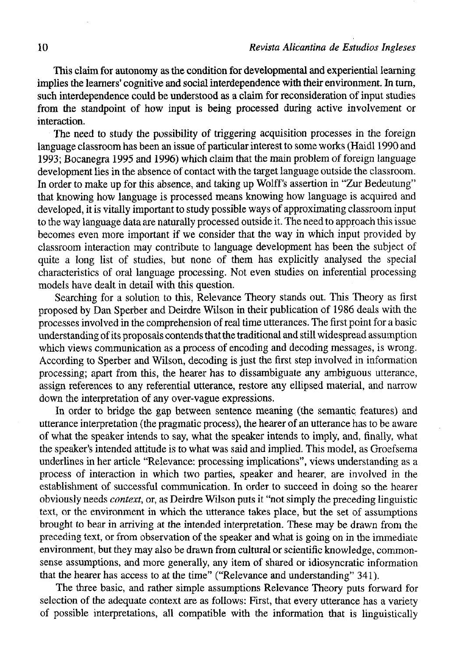This claim for autonomy as the condition for developmental and experiential learning implies the learners' cognitive and social interdependence with their environment. In turn, such interdependence could be understood as a claim for reconsideration of input studies from the standpoint of how input is being processed during active involvement or interaction.

The need to study the possibility of triggering acquisition processes in the foreign language classroom has been an issue of particular interest to some works (Haidl 1990 and 1993; Bocanegra 1995 and 1996) which claim that the main problem of foreign language development lies in the absence of contact with the target language outside the classroom. In order to make up for this absence, and taking up Wolff's assertion in "Zur Bedeutung" that knowing how language is processed means knowing how language is acquired and developed, it is vitally important to study possible ways of approximating classroom input to the way language data are naturally processed outside it. The need to approach this issue becomes even more important if we consider that the way in which input provided by classroom interaction may contribute to language development has been the subject of quite a long list of studies, but none of them has explicitly analysed the special characteristics of oral language processing. Not even studies on inferential processing models have dealt in detail with this question.

Searching for a solution to this, Relevance Theory stands out. This Theory as first proposed by Dan Sperber and Deirdre Wilson in their publication of 1986 deals with the processes involved in the comprehension of real time utterances. The first point for a basic understanding of its proposals contends that the traditional and still widespread assumption which views communication as a process of encoding and decoding messages, is wrong. According to Sperber and Wilson, decoding is just the first step involved in information processing; apart from this, the hearer has to dissambiguate any ambiguous utterance, assign references to any referential utterance, restore any ellipsed material, and narrow down the interpretation of any over-vague expressions.

In order to bridge the gap between sentence meaning (the semantic features) and utterance interpretation (the pragmatic process), the hearer of an utterance has to be aware of what the speaker intends to say, what the speaker intends to imply, and, finally, what the speaker's intended attitude is to what was said and implied. This model, as Groefsema underlines in her article "Relevance: processing implications", views understanding as a process of interaction in which two parties, speaker and hearer, are involved in the establishment of successful communication. In order to succeed in doing so the hearer obviously needs *context,* or, as Deirdre Wilson puts it "not simply the preceding linguistic text, or the environment in which the utterance takes place, but the set of assumptions brought to bear in arriving at the intended interpretation. These may be drawn from the preceding text, or from observation of the speaker and what is going on in the immediate environment, but fhey may also be drawn from cultural or scientific knowledge, commonsense assumptions, and more generally, any item of shared or idiosyncratic information that the hearer has access to at the time" ("Relevance and understanding" 341).

The three basic, and rather simple assumptions Relevance Theory puts forward for selection of the adequate context are as follows: First, that every utterance has a variety of possible interpretations, all compatible with the information that is linguistically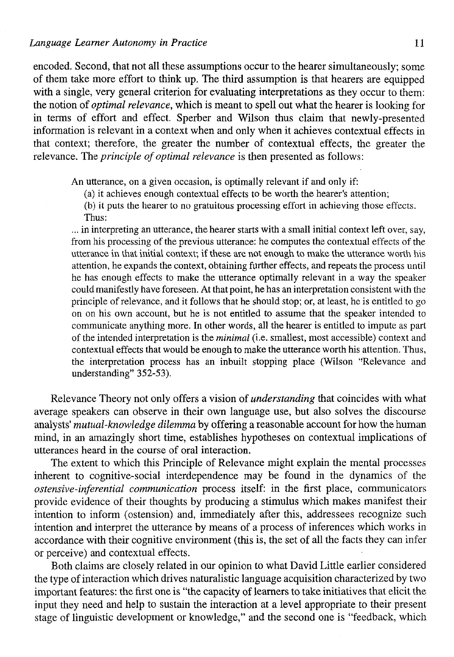encoded. Second, that not all these assumptions occur to the hearer simultaneously; some of them take more effort to think up. The third assumption is that hearers are equipped with a single, very general criterion for evaluating interpretations as they occur to them: the notion of *optimal relevance,* which is meant to spell out what the hearer is looking for in terms of effort and effect. Sperber and Wilson thus claim that newly-presented information is relevant in a context when and only when it achieves contextual effects in that context; therefore, the greater the number of contextual effects, the greater the relevance. The *principie of optimal relevance* is then presented as follows:

An utterance, on a given occasion, is optimally relevant if and only if:

(a) it achieves enough contextual effects to be worth the hearer's attention;

(b) it puts the hearer to no gratuitous processing effort in achieving those effects. Thus:

... in interpreting an utterance, the hearer starts with a small initial context left over, say, from his processing of the previous utterance: he computes the contextual effects of the utterance in that initial context; if these are not enough to make the utterance worth his attention, he expands the context, obtaining further effects, and repeats the process until he has enough effects to make the utterance optimally relevant in a way the speaker could manifestly ha ve foreseen. At that point, he has an interpretation consistent with the principie of relevance, and it follows that he should stop; or, at least, he is entitled to go on on his own account, but he is not entitled to assume that the speaker intended to communicate anything more. In other words, all the hearer is entitled to impute as part of the intended interpretation is the *minimal* (i.e. smallest, most accessible) context and contextual effects that would be enough to make the utterance worth his attention. Thus, the interpretation process has an inbuilt stopping place (Wilson "Relevance and understanding" 352-53).

Relevance Theory not only offers a visión of *understanding* that coincides with what average speakers can observe in their own language use, but also solves the discourse analysts' *mutual-knowledge dilemma* by offering a reasonable account for how the human mind, in an amazingly short time, establishes hypotheses on contextual implications of utterances heard in the course of oral interaction.

The extent to which this Principie of Relevance might explain the mental processes inherent to cognitive-social interdependence may be found in the dynamics of the *ostensive-inferential communication* process itself: in the first place, communicators provide evidence of their thoughts by producing a stimulus which makes manifest their intention to inform (ostension) and, immediately after this, addressees recognize such intention and interpret the utterance by means of a process of inferences which works in accordance with their cognitive environment (this is, the set of all the facts they can infer or perceive) and contextual effects.

Both claims are closely related in our opinión to what David Little earlier considered the type of interaction which drives naturalistic language acquisition characterized by two important features: the first one is "the capacity of learners to take initiatives that elicit the input they need and help to sustain the interaction at a level appropriate to their present stage of linguistic development or knowledge," and the second one is "feedback, which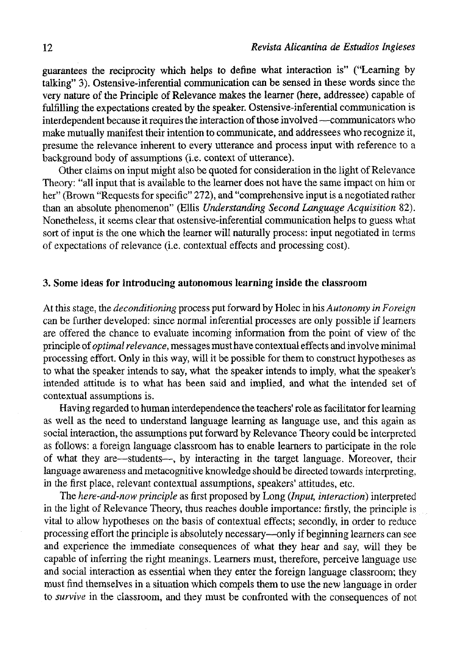guarantees the reciprocity which helps to define what interaction is" ("Learning by talking" 3). Ostensive-inferential communication can be sensed in these words since the very nature of the Principie of Relevance makes the leamer (here, addressee) capable of fulfilling the expectations created by the speaker. Ostensive-inferential communication is interdependent because it requires the interaction of those involved —communicators who make mutually manifest their intention to communicate, and addressees who recognize it, presume the relevance inherent to every utterance and process input with reference to a background body of assumptions (i.e. context of utterance).

Other claims on input might also be quoted for consideration in the light of Relevance Theory: "all input that is available to the learner does not have the same impact on him or her" (Brown "Requests for specific" 272), and "comprehensive input is a negotiated rather than an absolute phenomenon" (Ellis *Understanding Second Language Acquisition* 82). Nonetheless, it seems clear that ostensive-inferential communication helps to guess what sort of input is the one which the learner will naturally process: input negotiated in terms of expectations of relevance (Le. contextual effects and processing cost).

#### 3. Some ideas for introducing autonomous learning inside the classroom

At this stage, the *deconditioning* process put forward by Holec in his *Autonomy in Foreign*  can be further developed: since normal inferential processes are only possible if learners are offered the chance to evalúate incoming information from the point of view of the principie of *optimal relevance,* messages must have contextual effects and involve minimal processing effort. Only in this way, will it be possible for them to construct hypotheses as to what the speaker intends to say, what the speaker intends to imply, what the speaker's intended attitude is to what has been said and implied, and what the intended set of contextual assumptions is.

Having regarded to human interdependence the teachers' role as facilitator for learning as well as the need to understand language learning as language use, and this again as social interaction, the assumptions put forward by Relevance Theory could be interpreted as foflows: a foreign language classroom has to enable learners to participate in the role of what they are—students—, by interacting in the target language. Moreover, their language awareness and metacognitive knowledge should be directed towards interpreting, in the flrst place, relevant contextual assumptions, speakers' attitudes, etc.

The *here-and-now principie* as first proposed by Long *{Input, interaction)* interpreted in the light of Relevance Theory, thus reaches double importance: firstly, the principie is vital to allow hypotheses on the basis of contextual effects; secondly, in order to reduce processing effort the principie is absolutely necessary—only if beginning learners can see and experience the immediate consequences of what they hear and say, will they be capable of inferring the right meanings. Learners must, therefore, perceive language use and social interaction as essential when they enter the foreign language classroom; they must find themselves in a situation which compels them to use the new language in order to *survive* in the classroom, and they must be confronted with the consequences of not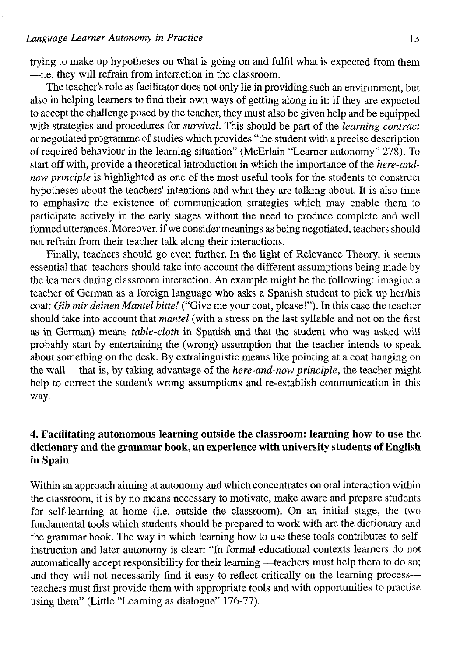trying to make up hypotheses on what is going on and fulfil what is expected from them —i.e. they will refrain from interaction in the classroom.

The teacher's role as facilitator does not only lie in providing such an environment, but also in helping learners to find their own ways of getting along in it: if they are expected to accept the challenge posed by the teacher, they must also be given help and be equipped with strategies and procedures for *survival.* This should be part of the *learning contract*  or negotiated programme of studies which provides "the student with a precise description of required behaviour in the learning situation" (McErlain "Learner autonomy" 278). To start off with, provide a theoretical introduction in which the importance of the *here-andnow principie* is highlighted as one of the most useful tools for the students to construct hypotheses about the teachers' intentions and what they are talking about. It is also time to emphasize the existence of communication strategies which may enable them to particípate actively in the early stages without the need to produce complete and well formed utterances. Moreover, if we consider meanings as being negotiated, teachers should not refrain from their teacher talk along their interactions.

Finally, teachers should go even further. In the light of Relevance Theory, it seems essential that teachers should take into account the different assumptions being made by the learners during classroom interaction. An example might be the following: imagine a teacher of German as a foreign language who asks a Spanish student to pick up her/his coat: *Gib mir deinen Mantel bitte!* ("Give me your coat, please!"). In this case the teacher should take into account that *mantel* (with a stress on the last syllable and not on the first as in German) means *table-cloth* in Spanish and that the student who was asked will probably start by entertaining the (wrong) assumption that the teacher intends to speak about something on the desk. By extralinguistic means like pointing at a coat hanging on the wall —that is, by taking advantage of the *here-and-now principie,* the teacher might help to correct the student's wrong assumptions and re-establish communication in this way.

# **4. Facilitating autonomous learning outside the classroom: learning how to use the dictionary and the grammar book, an experience with university students of English in Spain**

Within an approach aiming at autonomy and which concentrates on oral interaction within the classroom, it is by no means necessary to motívate, make aware and prepare students for self-learning at home (i.e. outside the classroom). On an initial stage, the two fundamental tools which students should be prepared to work with are the dictionary and the grammar book. The way in which learning how to use these tools contributes to selfinstruction and later autonomy is clear: "In formal educational contexts learners do not automatically accept responsibility for their learning —teachers must help them to do so; and they will not necessarily find it easy to reflect critically on the learning process teachers must first provide them with appropriate tools and with opportunities to practise using them" (Little "Learning as dialogue" 176-77).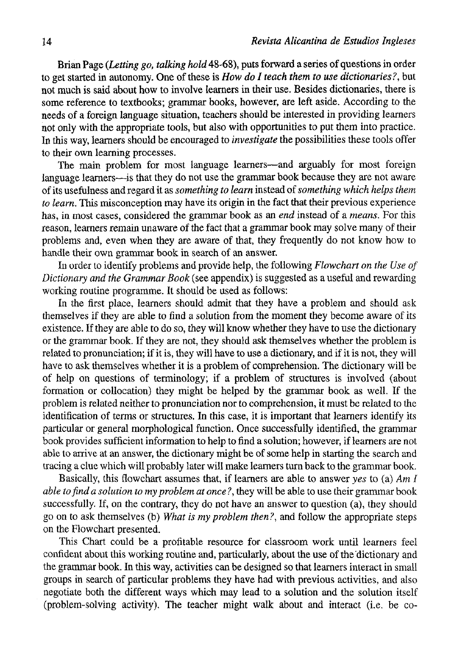Brian Page *(Letting go, talking hold* 48-68), puts forward a series of questions in order to get started in autonomy. One of these is *How do I teach them to use dictionaries?,* but not much is said about how to involve leamers in their use. Besides dictionaries, there is some reference to textbooks; grammar books, however, are left aside. According to the needs of a foreign language situation, teachers should be interested in providing leamers not only with the appropriate tools, but also with opportunities to put them into pracüce. In this way, leamers should be encouraged to *investígate* the possibilities these tools offer to their own learning processes.

The main problem for most language leamers—and arguably for most foreign language leamers—is that they do not use the grammar book because they are not aware of its usefulness and regard it as *something to learn* instead of *something which helps them to learn.* This misconception may have its origin in the fact that their previous experience has, in most cases, considered the grammar book as an *end* instead of a *means.* For this reason, leamers remain unaware of the fact that a grammar book may solve many of their problems and, even when they are aware of that, they frequently do not know how to handle their own grammar book in search of an answer.

In order to identify problems and provide help, the following *Flowchart on the Use of Dictionary and the Grammar Book* (see appendix) is suggested as a useful and rewarding working routine programme. It should be used as follows:

In the first place, leamers should admit that they have a problem and should ask themselves if they are able to find a solution from the moment they become aware of its existence. If they are able to do so, they will know whether they have to use the dictionary or the grammar book. If they are not, they should ask themselves whether the problem is related to pronunciation; if it is, they will have to use a dictionary, and if it is not, they will have to ask themselves whether it is a problem of comprehension. The dictionary will be of help on questions of terminology; if a problem of structures is involved (about formation or collocation) they might be helped by the grammar book as well. If the problem is related neither to pronunciation ñor to comprehension, it must be related to the identiflcation of terms or structures. In this case, it is important that leamers identify its particular or general morphological function. Once successfully identified, the grammar book provides sufficient information to help to find a solution; however, if leamers are not able to arrive at an answer, the dictionary might be of some help in starting the search and tracing a clue which will probably later will make leamers turn back to the grammar book.

Basically, this flowchart assumes that, if leamers are able to answer *yes* to (a) *Am I able tofind a solution to my problem at once ?,* they will be able to use their grammar book successfully. If, on the contrary, they do not have an answer to question (a), they should go on to ask themselves (b) *What is my problem then?,* and follow the appropriate steps on the Flowchart presented.

This Chart could be a profitable resource for classroom work until leamers feel confident about this working routine and, particularly, about the use of the dictionary and the grammar book. In this way, activities can be designed so that leamers interact in small groups in search of particular problems they have had with previous activities, and also negotiate both the different ways which may lead to a solution and the solution itself (problem-solving activity). The teacher might walk about and interact (i.e. be co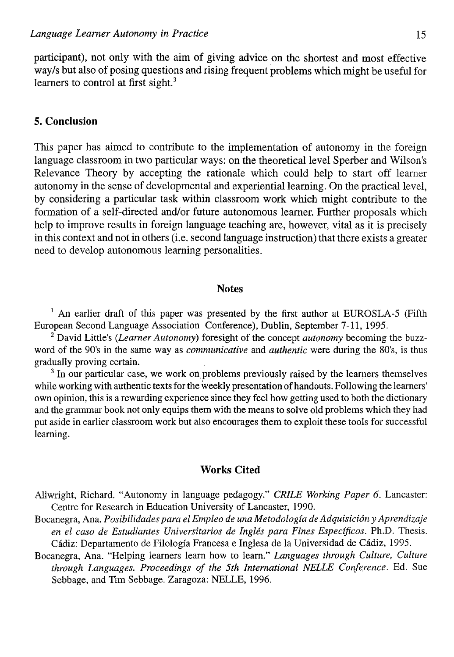participant), not only with the aim of giving advice on the shortest and most effective way/s but also of posing questions and rising frequent problems which might be useful for learners to control at first sight. $3$ 

## **5. Conclusión**

This paper has aimed to contribute to the implementation of autonomy in the foreign language classroom in two particular ways: on the theoretical level Sperber and Wilson's Relevance Theory by accepting the rationale which could help to start off learner autonomy in the sense of developmental and experiential learning. On the practical level, by considering a particular task within classroom work which might contribute to the formation of a self-directed and/or future autonomous learner. Further proposals which help to improve results in foreign language teaching are, however, vital as it is precisely in this context and not in others (i.e. second language instruction) that there exists a greater need to develop autonomous learning personalities.

### Notes

<sup>1</sup> An earlier draft of this paper was presented by the first author at EUROSLA-5 (Fifth European Second Language Association Conference), Dublin, September 7-11, 1995.

2 David Little's *{Learner Autonomy)* foresight of the concept *autonomy* becoming the buzzword of the 90's in the same way as *communicative* and *authentic* were during the 80's, is thus gradually proving certain.

<sup>3</sup> In our particular case, we work on problems previously raised by the learners themselves while working with authentic texts for the weekly presentation of handouts. Following the learners' own opinión, this is a rewarding experience since they feel how getting used to both the dictionary and the grammar book not only equips them with the means to solve oíd problems which they had put aside in earlier classroom work but also encourages them to exploit these tools for successful learning.

## **Works Cited**

Allwright, Richard. "Autonomy in language pedagogy." *CRILE Working Paper 6.* Lancaster: Centre for Research in Education University of Lancaster, 1990.

- Bocanegra, Ana. *Posibilidades para el Empleo de una Metodología de Adquisición y Aprendizaje en el caso de Estudiantes Universitarios de Inglés para Fines Específicos.* Ph.D. Thesis. Cádiz: Departamento de Filología Francesa e Inglesa de la Universidad de Cádiz, 1995.
- Bocanegra, Ana. "Helping learners learn how to learn." *Languages through Culture, Culture through Languages. Proceedings of the 5th International NELLE Conference.* Ed. Sue Sebbage, and Tim Sebbage. Zaragoza: NELLE, 1996.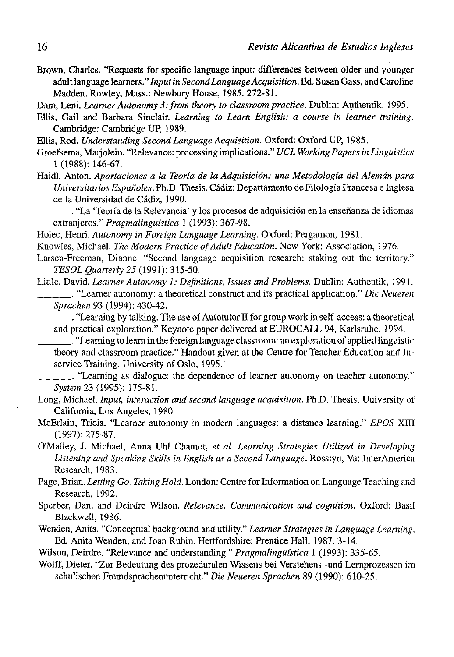- Brown, Charles. "Requests for specific language input: differences between older and younger adult language learners." *Input in Second Language Acquisition.* Ed. Susan Gass, and Caroline Madden. Rowley, Mass.: Newbury House, 1985. 272-81.
- Dam, Leni. *Learner Autonomy 3: from theory to classroom practice.* Dublin: Authentik, 1995.
- Ellis, Gail and Barbara Sinclair. *Learning to Learn English: a course in learner training.*  Cambridge: Cambridge UP, 1989.
- Ellis, Rod. *Understanding Second Language Acquisition.* Oxford: Oxford UP, 1985.
- Groefsema, Marjolein. "Relevance: processing implications." *UCL Working Papers in Linguistics*  1 (1988): 146-67.
- Haidl, Antón. *Aportaciones a la Teoría de la Adquisición: una Metodología del Alemán para Universitarios Españoles.* Ph.D. Thesis. Cádiz: Departamento de Filología Francesa e Inglesa de la Universidad de Cádiz, 1990.

. "La 'Teoría de la Relevancia' y los procesos de adquisición en la enseñanza de idiomas extranjeros." *Pragmalinguística* 1 (1993): 367-98.

Holec, Henri. *Autonomy in Foreign Language Learning.* Oxford: Pergamon, 1981.

Knowles, Michael. The Modern Practice of Adult Education. New York: Association, 1976.

Larsen-Freeman, Dianne. "Second language acquisition research: staking out the territory." *TESOL Quarterly 25* (1991): 315-50.

Little, David. *Learner Autonomy 1: Definitions, Issues and Problems.* Dublin: Authentik, 1991.

. "Learner autonomy: a theoretical construct and its practical application." *Die Neueren Sprachen* 93 (1994): 430-42.

. "Learning by talking. The use of Autotutor II for group work in self-access: a theoretical and practical exploration." Keynote paper delivered at EUROCALL 94, Karlsruhe, 1994.

. "Learning to learn in the foreign language classroom: an exploration of applied linguistic theory and classroom practice." Handout given at the Centre for Teacher Education and Inservice Training, University of Oslo, 1995.

. "Learning as dialogue: the dependence of learner autonomy on teacher autonomy." *System* 23 (1995): 175-81.

- Long, Michael. *Input, interaction and second language acquisition.* Ph.D. Thesis. University of California, Los Angeles, 1980.
- McErlain, Tricia. "Leamer autonomy in modern languages: a distance learning." *EPOS* XIII (1997): 275-87.
- O'Malley, J. Michael, Anna Uhl Chamot, *et al. Learning Strategies Utilized in Developing Listening and Speaking Skills in English as a Second Language.* Rosslyn, Va: InterAmerica Research, 1983.
- Page, Brian. *Letting Go, Taking Hold.* London: Centre for Information on Language Teaching and Research, 1992.
- Sperber, Dan, and Deirdre Wilson. *Relevance. Communication and cognition.* Oxford: Basil Blackwell, 1986.
- Wenden, Anita. "Conceptual background and utility." *Leamer Strategies in Language Learning.*  Ed. Anita Wenden, and Joan Rubin. Hertfordshire: Prentice Hall, 1987. 3-14.
- Wilson, Deirdre. "Relevance and understanding." *Pragmalinguística* 1 (1993): 335-65.
- Wolff, Dieter. "Zur Bedeutung des prozeduralen Wissens bei Verstehens -und Lernprozessen im schulischen Fremdsprachenunterricht." *Die Neueren Sprachen* 89 (1990): 610-25.